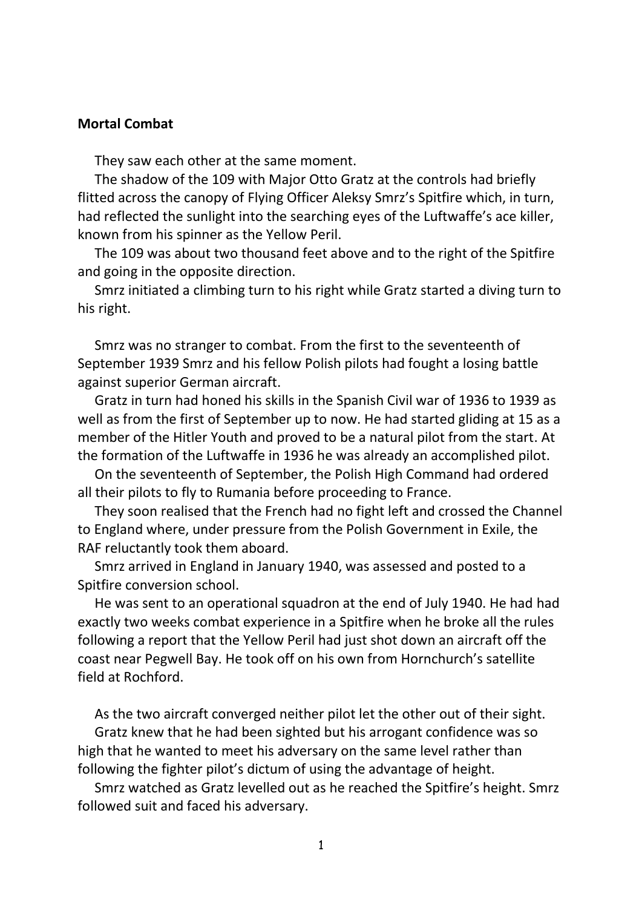## **Mortal Combat**

They saw each other at the same moment.

 The shadow of the 109 with Major Otto Gratz at the controls had briefly flitted across the canopy of Flying Officer Aleksy Smrz's Spitfire which, in turn, had reflected the sunlight into the searching eyes of the Luftwaffe's ace killer, known from his spinner as the Yellow Peril.

 The 109 was about two thousand feet above and to the right of the Spitfire and going in the opposite direction.

 Smrz initiated a climbing turn to his right while Gratz started a diving turn to his right.

 Smrz was no stranger to combat. From the first to the seventeenth of September 1939 Smrz and his fellow Polish pilots had fought a losing battle against superior German aircraft.

 Gratz in turn had honed his skills in the Spanish Civil war of 1936 to 1939 as well as from the first of September up to now. He had started gliding at 15 as a member of the Hitler Youth and proved to be a natural pilot from the start. At the formation of the Luftwaffe in 1936 he was already an accomplished pilot.

 On the seventeenth of September, the Polish High Command had ordered all their pilots to fly to Rumania before proceeding to France.

 They soon realised that the French had no fight left and crossed the Channel to England where, under pressure from the Polish Government in Exile, the RAF reluctantly took them aboard.

 Smrz arrived in England in January 1940, was assessed and posted to a Spitfire conversion school.

 He was sent to an operational squadron at the end of July 1940. He had had exactly two weeks combat experience in a Spitfire when he broke all the rules following a report that the Yellow Peril had just shot down an aircraft off the coast near Pegwell Bay. He took off on his own from Hornchurch's satellite field at Rochford.

As the two aircraft converged neither pilot let the other out of their sight.

 Gratz knew that he had been sighted but his arrogant confidence was so high that he wanted to meet his adversary on the same level rather than following the fighter pilot's dictum of using the advantage of height.

 Smrz watched as Gratz levelled out as he reached the Spitfire's height. Smrz followed suit and faced his adversary.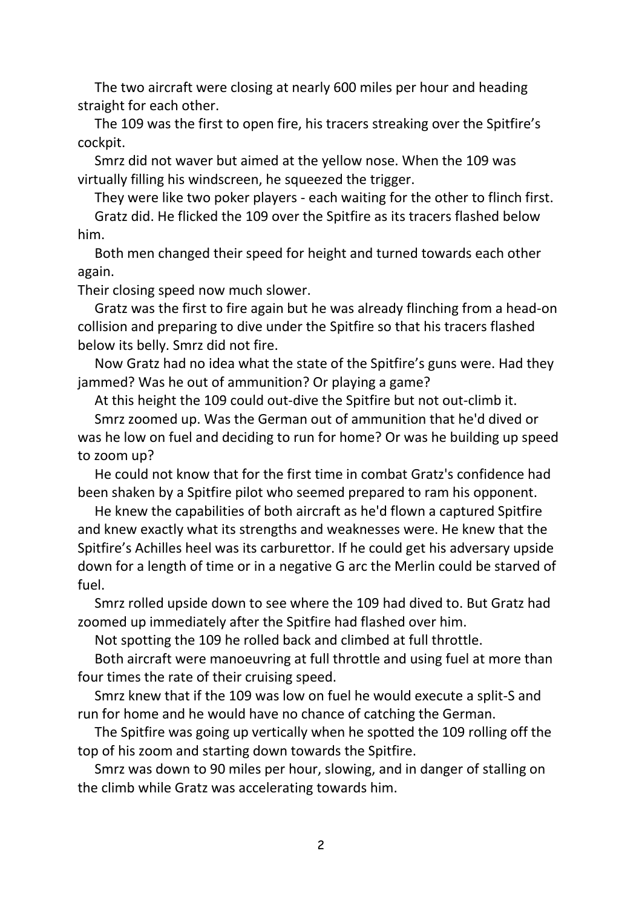The two aircraft were closing at nearly 600 miles per hour and heading straight for each other.

 The 109 was the first to open fire, his tracers streaking over the Spitfire's cockpit.

 Smrz did not waver but aimed at the yellow nose. When the 109 was virtually filling his windscreen, he squeezed the trigger.

They were like two poker players - each waiting for the other to flinch first.

 Gratz did. He flicked the 109 over the Spitfire as its tracers flashed below him.

 Both men changed their speed for height and turned towards each other again.

Their closing speed now much slower.

 Gratz was the first to fire again but he was already flinching from a head-on collision and preparing to dive under the Spitfire so that his tracers flashed below its belly. Smrz did not fire.

 Now Gratz had no idea what the state of the Spitfire's guns were. Had they jammed? Was he out of ammunition? Or playing a game?

At this height the 109 could out-dive the Spitfire but not out-climb it.

 Smrz zoomed up. Was the German out of ammunition that he'd dived or was he low on fuel and deciding to run for home? Or was he building up speed to zoom up?

 He could not know that for the first time in combat Gratz's confidence had been shaken by a Spitfire pilot who seemed prepared to ram his opponent.

 He knew the capabilities of both aircraft as he'd flown a captured Spitfire and knew exactly what its strengths and weaknesses were. He knew that the Spitfire's Achilles heel was its carburettor. If he could get his adversary upside down for a length of time or in a negative G arc the Merlin could be starved of fuel.

 Smrz rolled upside down to see where the 109 had dived to. But Gratz had zoomed up immediately after the Spitfire had flashed over him.

Not spotting the 109 he rolled back and climbed at full throttle.

 Both aircraft were manoeuvring at full throttle and using fuel at more than four times the rate of their cruising speed.

 Smrz knew that if the 109 was low on fuel he would execute a split-S and run for home and he would have no chance of catching the German.

 The Spitfire was going up vertically when he spotted the 109 rolling off the top of his zoom and starting down towards the Spitfire.

 Smrz was down to 90 miles per hour, slowing, and in danger of stalling on the climb while Gratz was accelerating towards him.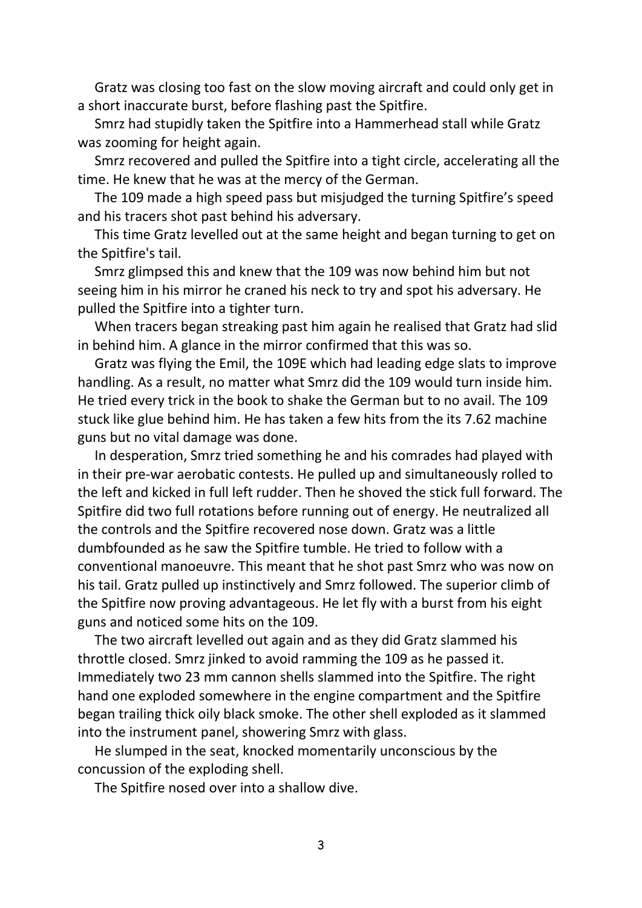Gratz was closing too fast on the slow moving aircraft and could only get in a short inaccurate burst, before flashing past the Spitfire.

 Smrz had stupidly taken the Spitfire into a Hammerhead stall while Gratz was zooming for height again.

 Smrz recovered and pulled the Spitfire into a tight circle, accelerating all the time. He knew that he was at the mercy of the German.

 The 109 made a high speed pass but misjudged the turning Spitfire's speed and his tracers shot past behind his adversary.

 This time Gratz levelled out at the same height and began turning to get on the Spitfire's tail.

 Smrz glimpsed this and knew that the 109 was now behind him but not seeing him in his mirror he craned his neck to try and spot his adversary. He pulled the Spitfire into a tighter turn.

 When tracers began streaking past him again he realised that Gratz had slid in behind him. A glance in the mirror confirmed that this was so.

 Gratz was flying the Emil, the 109E which had leading edge slats to improve handling. As a result, no matter what Smrz did the 109 would turn inside him. He tried every trick in the book to shake the German but to no avail. The 109 stuck like glue behind him. He has taken a few hits from the its 7.62 machine guns but no vital damage was done.

 In desperation, Smrz tried something he and his comrades had played with in their pre-war aerobatic contests. He pulled up and simultaneously rolled to the left and kicked in full left rudder. Then he shoved the stick full forward. The Spitfire did two full rotations before running out of energy. He neutralized all the controls and the Spitfire recovered nose down. Gratz was a little dumbfounded as he saw the Spitfire tumble. He tried to follow with a conventional manoeuvre. This meant that he shot past Smrz who was now on his tail. Gratz pulled up instinctively and Smrz followed. The superior climb of the Spitfire now proving advantageous. He let fly with a burst from his eight guns and noticed some hits on the 109.

 The two aircraft levelled out again and as they did Gratz slammed his throttle closed. Smrz jinked to avoid ramming the 109 as he passed it. Immediately two 23 mm cannon shells slammed into the Spitfire. The right hand one exploded somewhere in the engine compartment and the Spitfire began trailing thick oily black smoke. The other shell exploded as it slammed into the instrument panel, showering Smrz with glass.

 He slumped in the seat, knocked momentarily unconscious by the concussion of the exploding shell.

The Spitfire nosed over into a shallow dive.